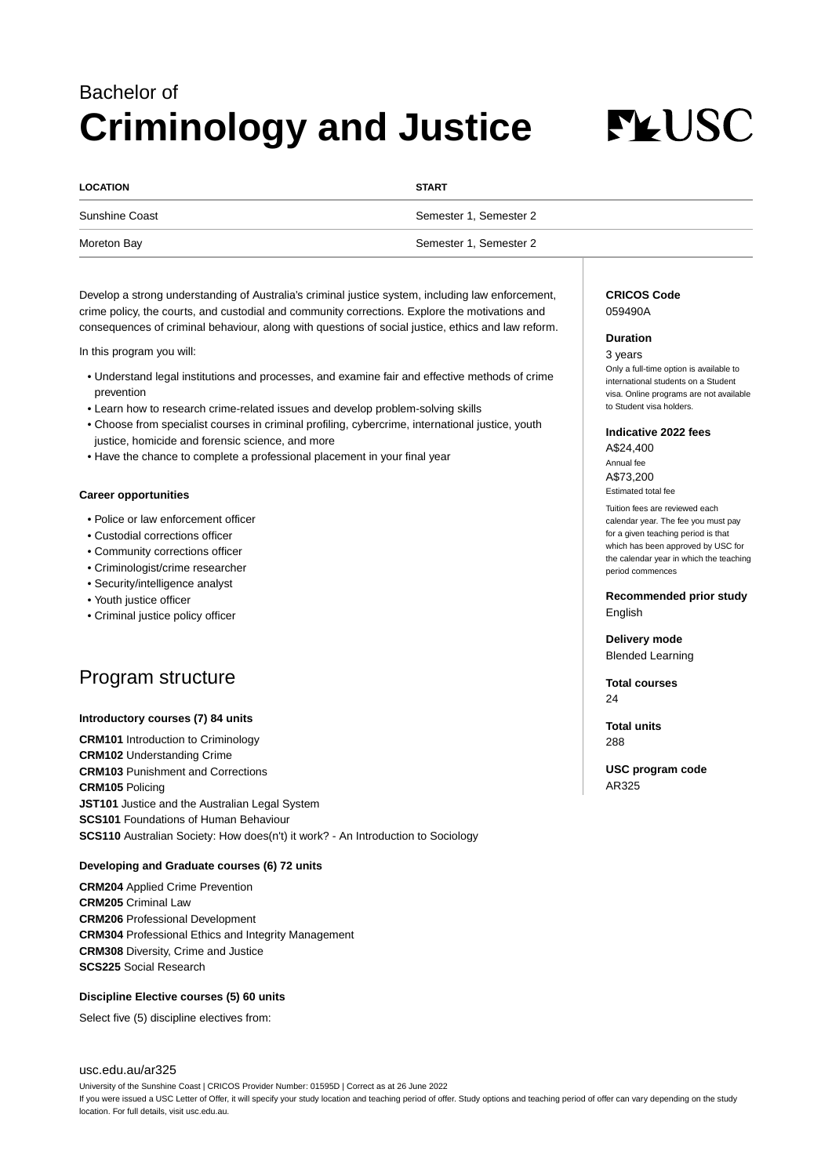## Bachelor of **Criminology and Justice**

# **FLUSC**

| <b>LOCATION</b> | <b>START</b>           |
|-----------------|------------------------|
| Sunshine Coast  | Semester 1, Semester 2 |
| Moreton Bay     | Semester 1, Semester 2 |

Develop a strong understanding of Australia's criminal justice system, including law enforcement, crime policy, the courts, and custodial and community corrections. Explore the motivations and consequences of criminal behaviour, along with questions of social justice, ethics and law reform.

In this program you will:

- Understand legal institutions and processes, and examine fair and effective methods of crime prevention
- Learn how to research crime-related issues and develop problem-solving skills
- Choose from specialist courses in criminal profiling, cybercrime, international justice, youth justice, homicide and forensic science, and more
- Have the chance to complete a professional placement in your final year

#### **Career opportunities**

- Police or law enforcement officer
- Custodial corrections officer
- Community corrections officer
- Criminologist/crime researcher
- Security/intelligence analyst
- Youth justice officer
- Criminal justice policy officer

### Program structure

#### **Introductory courses (7) 84 units**

**CRM101** Introduction to Criminology **CRM102** Understanding Crime **CRM103** Punishment and Corrections **CRM105** Policing **JST101** Justice and the Australian Legal System **SCS101** Foundations of Human Behaviour **SCS110** Australian Society: How does(n't) it work? - An Introduction to Sociology

#### **Developing and Graduate courses (6) 72 units**

**CRM204** Applied Crime Prevention **CRM205** Criminal Law **CRM206** Professional Development **CRM304** Professional Ethics and Integrity Management **CRM308** Diversity, Crime and Justice **SCS225** Social Research

#### **Discipline Elective courses (5) 60 units**

Select five (5) discipline electives from:

#### [usc.edu.au/ar325](https://www.usc.edu.au/ar325)

University of the Sunshine Coast | CRICOS Provider Number: 01595D | Correct as at 26 June 2022 If you were issued a USC Letter of Offer, it will specify your study location and teaching period of offer. Study options and teaching period of offer can vary depending on the study location. For full details, visit usc.edu.au.

#### **CRICOS Code** 059490A

#### **Duration**

3 years Only a full-time option is available to international students on a Student visa. Online programs are not available to Student visa holders.

#### **Indicative 2022 fees**

A\$24,400 Annual fee A\$73,200 Estimated total fee

Tuition fees are reviewed each calendar year. The fee you must pay for a given teaching period is that which has been approved by USC for the calendar year in which the teaching period commences

**Recommended prior study** English

**Delivery mode** Blended Learning

**Total courses** 24

**Total units** 288

**USC program code** AR325